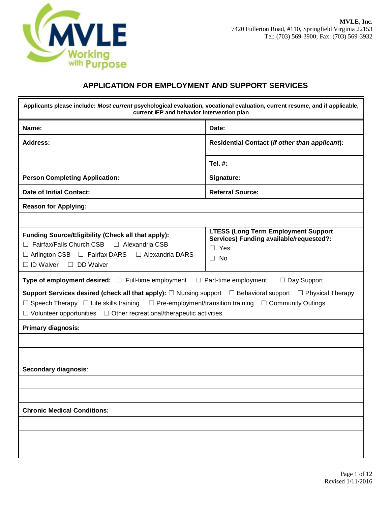

### **APPLICATION FOR EMPLOYMENT AND SUPPORT SERVICES**

| Applicants please include: Most current psychological evaluation, vocational evaluation, current resume, and if applicable,<br>current IEP and behavior intervention plan                                                                                                                                                                     |                                                                                                                  |  |  |  |  |
|-----------------------------------------------------------------------------------------------------------------------------------------------------------------------------------------------------------------------------------------------------------------------------------------------------------------------------------------------|------------------------------------------------------------------------------------------------------------------|--|--|--|--|
| Name:                                                                                                                                                                                                                                                                                                                                         | Date:                                                                                                            |  |  |  |  |
| Address:                                                                                                                                                                                                                                                                                                                                      | Residential Contact (if other than applicant):                                                                   |  |  |  |  |
|                                                                                                                                                                                                                                                                                                                                               | Tel. #:                                                                                                          |  |  |  |  |
| <b>Person Completing Application:</b>                                                                                                                                                                                                                                                                                                         | Signature:                                                                                                       |  |  |  |  |
| Date of Initial Contact:                                                                                                                                                                                                                                                                                                                      | <b>Referral Source:</b>                                                                                          |  |  |  |  |
| <b>Reason for Applying:</b>                                                                                                                                                                                                                                                                                                                   |                                                                                                                  |  |  |  |  |
|                                                                                                                                                                                                                                                                                                                                               |                                                                                                                  |  |  |  |  |
| Funding Source/Eligibility (Check all that apply):<br>Fairfax/Falls Church CSB<br>□ Alexandria CSB<br>П<br>$\Box$ Arlington CSB $\Box$ Fairfax DARS<br>$\Box$ Alexandria DARS<br>$\Box$ ID Waiver $\Box$ DD Waiver                                                                                                                            | <b>LTESS (Long Term Employment Support</b><br>Services) Funding available/requested?:<br>$\Box$ Yes<br>$\Box$ No |  |  |  |  |
| <b>Type of employment desired:</b> $\Box$ Full-time employment                                                                                                                                                                                                                                                                                | $\Box$ Part-time employment<br>$\Box$ Day Support                                                                |  |  |  |  |
| Support Services desired (check all that apply): $\square$ Nursing support $\square$ Behavioral support $\square$ Physical Therapy<br>$\Box$ Speech Therapy $\Box$ Life skills training $\Box$ Pre-employment/transition training $\Box$ Community Outings<br>$\Box$ Volunteer opportunities $\Box$ Other recreational/therapeutic activities |                                                                                                                  |  |  |  |  |
| <b>Primary diagnosis:</b>                                                                                                                                                                                                                                                                                                                     |                                                                                                                  |  |  |  |  |
|                                                                                                                                                                                                                                                                                                                                               |                                                                                                                  |  |  |  |  |
|                                                                                                                                                                                                                                                                                                                                               |                                                                                                                  |  |  |  |  |
| Secondary diagnosis:                                                                                                                                                                                                                                                                                                                          |                                                                                                                  |  |  |  |  |
|                                                                                                                                                                                                                                                                                                                                               |                                                                                                                  |  |  |  |  |
|                                                                                                                                                                                                                                                                                                                                               |                                                                                                                  |  |  |  |  |
| <b>Chronic Medical Conditions:</b>                                                                                                                                                                                                                                                                                                            |                                                                                                                  |  |  |  |  |
|                                                                                                                                                                                                                                                                                                                                               |                                                                                                                  |  |  |  |  |
|                                                                                                                                                                                                                                                                                                                                               |                                                                                                                  |  |  |  |  |
|                                                                                                                                                                                                                                                                                                                                               |                                                                                                                  |  |  |  |  |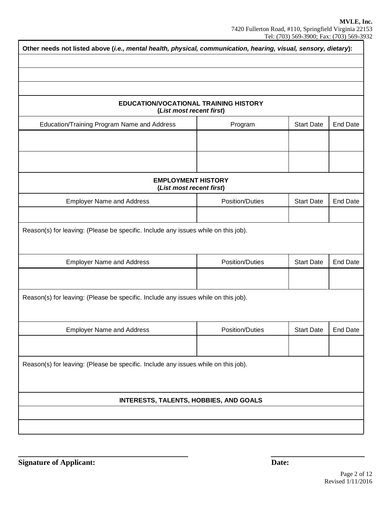| Other needs not listed above (i.e., mental health, physical, communication, hearing, visual, sensory, dietary): |                        |                   |                 |  |  |  |
|-----------------------------------------------------------------------------------------------------------------|------------------------|-------------------|-----------------|--|--|--|
|                                                                                                                 |                        |                   |                 |  |  |  |
|                                                                                                                 |                        |                   |                 |  |  |  |
| EDUCATION/VOCATIONAL TRAINING HISTORY<br>(List most recent first)                                               |                        |                   |                 |  |  |  |
| Education/Training Program Name and Address                                                                     | Program                | <b>Start Date</b> | <b>End Date</b> |  |  |  |
|                                                                                                                 |                        |                   |                 |  |  |  |
|                                                                                                                 |                        |                   |                 |  |  |  |
| <b>EMPLOYMENT HISTORY</b><br>(List most recent first)                                                           |                        |                   |                 |  |  |  |
| <b>Employer Name and Address</b>                                                                                | <b>Position/Duties</b> | <b>Start Date</b> | <b>End Date</b> |  |  |  |
|                                                                                                                 |                        |                   |                 |  |  |  |
| Reason(s) for leaving: (Please be specific. Include any issues while on this job).                              |                        |                   |                 |  |  |  |
| <b>Employer Name and Address</b>                                                                                | <b>Position/Duties</b> | <b>Start Date</b> | <b>End Date</b> |  |  |  |
|                                                                                                                 |                        |                   |                 |  |  |  |
| Reason(s) for leaving: (Please be specific. Include any issues while on this job).                              |                        |                   |                 |  |  |  |
| <b>Employer Name and Address</b>                                                                                | <b>Position/Duties</b> | <b>Start Date</b> | <b>End Date</b> |  |  |  |
|                                                                                                                 |                        |                   |                 |  |  |  |
| Reason(s) for leaving: (Please be specific. Include any issues while on this job).                              |                        |                   |                 |  |  |  |
| <b>INTERESTS, TALENTS, HOBBIES, AND GOALS</b>                                                                   |                        |                   |                 |  |  |  |
|                                                                                                                 |                        |                   |                 |  |  |  |
|                                                                                                                 |                        |                   |                 |  |  |  |

**\_\_\_\_\_\_\_\_\_\_\_\_\_\_\_\_\_\_\_\_\_\_\_\_\_\_\_\_\_\_\_\_\_\_\_\_\_\_ \_\_\_\_\_\_\_\_\_\_\_\_\_\_\_\_\_\_\_\_\_**

**Signature of Applicant:** Date: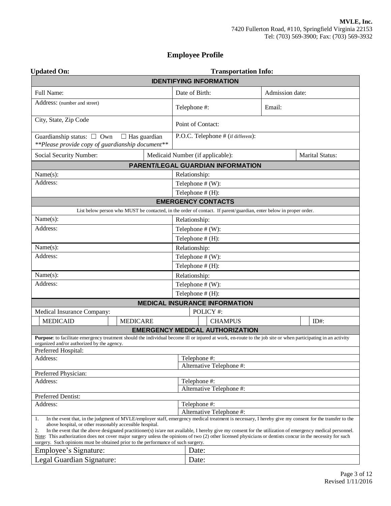## **Employee Profile**

| <b>Updated On:</b>                                                                                                                                                                                                                                                                                                                                                                                                                                                                                                                                                                                                                             |                     |                                  | <b>Transportation Info:</b>            |                 |                        |
|------------------------------------------------------------------------------------------------------------------------------------------------------------------------------------------------------------------------------------------------------------------------------------------------------------------------------------------------------------------------------------------------------------------------------------------------------------------------------------------------------------------------------------------------------------------------------------------------------------------------------------------------|---------------------|----------------------------------|----------------------------------------|-----------------|------------------------|
|                                                                                                                                                                                                                                                                                                                                                                                                                                                                                                                                                                                                                                                |                     | <b>IDENTIFYING INFORMATION</b>   |                                        |                 |                        |
| Full Name:                                                                                                                                                                                                                                                                                                                                                                                                                                                                                                                                                                                                                                     |                     | Date of Birth:                   |                                        | Admission date: |                        |
| Address: (number and street)                                                                                                                                                                                                                                                                                                                                                                                                                                                                                                                                                                                                                   |                     | Telephone #:                     |                                        | Email:          |                        |
| City, State, Zip Code                                                                                                                                                                                                                                                                                                                                                                                                                                                                                                                                                                                                                          |                     | Point of Contact:                |                                        |                 |                        |
| Guardianship status: $\Box$ Own<br>**Please provide copy of guardianship document**                                                                                                                                                                                                                                                                                                                                                                                                                                                                                                                                                            | $\Box$ Has guardian |                                  | P.O.C. Telephone # (if different):     |                 |                        |
| Social Security Number:                                                                                                                                                                                                                                                                                                                                                                                                                                                                                                                                                                                                                        |                     | Medicaid Number (if applicable): |                                        |                 | <b>Marital Status:</b> |
|                                                                                                                                                                                                                                                                                                                                                                                                                                                                                                                                                                                                                                                |                     |                                  | PARENT/LEGAL GUARDIAN INFORMATION      |                 |                        |
| Name(s):                                                                                                                                                                                                                                                                                                                                                                                                                                                                                                                                                                                                                                       |                     | Relationship:                    |                                        |                 |                        |
| Address:                                                                                                                                                                                                                                                                                                                                                                                                                                                                                                                                                                                                                                       |                     | Telephone $# (W)$ :              |                                        |                 |                        |
|                                                                                                                                                                                                                                                                                                                                                                                                                                                                                                                                                                                                                                                |                     | Telephone $# (H)$ :              |                                        |                 |                        |
|                                                                                                                                                                                                                                                                                                                                                                                                                                                                                                                                                                                                                                                |                     | <b>EMERGENCY CONTACTS</b>        |                                        |                 |                        |
| List below person who MUST be contacted, in the order of contact. If parent/guardian, enter below in proper order.                                                                                                                                                                                                                                                                                                                                                                                                                                                                                                                             |                     |                                  |                                        |                 |                        |
| Name(s):                                                                                                                                                                                                                                                                                                                                                                                                                                                                                                                                                                                                                                       |                     | Relationship:                    |                                        |                 |                        |
| Address:                                                                                                                                                                                                                                                                                                                                                                                                                                                                                                                                                                                                                                       |                     | Telephone $# (W)$ :              |                                        |                 |                        |
|                                                                                                                                                                                                                                                                                                                                                                                                                                                                                                                                                                                                                                                |                     | Telephone # (H):                 |                                        |                 |                        |
| Name(s):                                                                                                                                                                                                                                                                                                                                                                                                                                                                                                                                                                                                                                       |                     | Relationship:                    |                                        |                 |                        |
| Address:                                                                                                                                                                                                                                                                                                                                                                                                                                                                                                                                                                                                                                       |                     | Telephone $# (W)$ :              |                                        |                 |                        |
|                                                                                                                                                                                                                                                                                                                                                                                                                                                                                                                                                                                                                                                |                     | Telephone $# (H)$ :              |                                        |                 |                        |
| Name(s):                                                                                                                                                                                                                                                                                                                                                                                                                                                                                                                                                                                                                                       |                     | Relationship:                    |                                        |                 |                        |
| Address:                                                                                                                                                                                                                                                                                                                                                                                                                                                                                                                                                                                                                                       |                     | Telephone $# (W)$ :              |                                        |                 |                        |
|                                                                                                                                                                                                                                                                                                                                                                                                                                                                                                                                                                                                                                                |                     | Telephone # (H):                 |                                        |                 |                        |
|                                                                                                                                                                                                                                                                                                                                                                                                                                                                                                                                                                                                                                                |                     |                                  | <b>MEDICAL INSURANCE INFORMATION</b>   |                 |                        |
| Medical Insurance Company:                                                                                                                                                                                                                                                                                                                                                                                                                                                                                                                                                                                                                     |                     |                                  | POLICY #:                              |                 |                        |
| <b>MEDICAID</b>                                                                                                                                                                                                                                                                                                                                                                                                                                                                                                                                                                                                                                | <b>MEDICARE</b>     |                                  | <b>CHAMPUS</b>                         |                 | $ID#$ :                |
|                                                                                                                                                                                                                                                                                                                                                                                                                                                                                                                                                                                                                                                |                     |                                  | <b>EMERGENCY MEDICAL AUTHORIZATION</b> |                 |                        |
| Purpose: to facilitate emergency treatment should the individual become ill or injured at work, en-route to the job site or when participating in an activity                                                                                                                                                                                                                                                                                                                                                                                                                                                                                  |                     |                                  |                                        |                 |                        |
| organized and/or authorized by the agency.<br>Preferred Hospital:                                                                                                                                                                                                                                                                                                                                                                                                                                                                                                                                                                              |                     |                                  |                                        |                 |                        |
| Address:                                                                                                                                                                                                                                                                                                                                                                                                                                                                                                                                                                                                                                       |                     | Telephone #:                     |                                        |                 |                        |
|                                                                                                                                                                                                                                                                                                                                                                                                                                                                                                                                                                                                                                                |                     |                                  | Alternative Telephone #:               |                 |                        |
| Preferred Physician:                                                                                                                                                                                                                                                                                                                                                                                                                                                                                                                                                                                                                           |                     |                                  |                                        |                 |                        |
| Address:                                                                                                                                                                                                                                                                                                                                                                                                                                                                                                                                                                                                                                       |                     | Telephone #:                     |                                        |                 |                        |
|                                                                                                                                                                                                                                                                                                                                                                                                                                                                                                                                                                                                                                                |                     |                                  | Alternative Telephone #:               |                 |                        |
| Preferred Dentist:<br>Address:                                                                                                                                                                                                                                                                                                                                                                                                                                                                                                                                                                                                                 |                     | Telephone #:                     |                                        |                 |                        |
|                                                                                                                                                                                                                                                                                                                                                                                                                                                                                                                                                                                                                                                |                     |                                  | Alternative Telephone #:               |                 |                        |
| In the event that, in the judgment of MVLE/employer staff, emergency medical treatment is necessary, I hereby give my consent for the transfer to the<br>1.<br>above hospital, or other reasonably accessible hospital.<br>2.<br>In the event that the above designated practitioner(s) is/are not available, I hereby give my consent for the utilization of emergency medical personnel.<br>Note: This authorization does not cover major surgery unless the opinions of two (2) other licensed physicians or dentists concur in the necessity for such<br>surgery. Such opinions must be obtained prior to the performance of such surgery. |                     |                                  |                                        |                 |                        |
| Employee's Signature:                                                                                                                                                                                                                                                                                                                                                                                                                                                                                                                                                                                                                          |                     | Date:                            |                                        |                 |                        |
| Legal Guardian Signature:                                                                                                                                                                                                                                                                                                                                                                                                                                                                                                                                                                                                                      |                     | Date:                            |                                        |                 |                        |
|                                                                                                                                                                                                                                                                                                                                                                                                                                                                                                                                                                                                                                                |                     |                                  |                                        |                 |                        |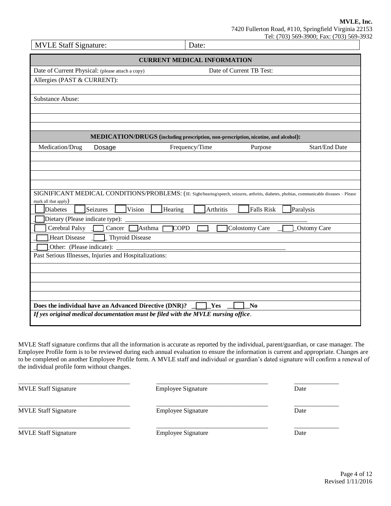| <b>MVLE Staff Signature:</b>                                                                                                               | Date:                                                                               |                          | 50, 500, 100, 100     |  |  |  |  |
|--------------------------------------------------------------------------------------------------------------------------------------------|-------------------------------------------------------------------------------------|--------------------------|-----------------------|--|--|--|--|
| <b>CURRENT MEDICAL INFORMATION</b>                                                                                                         |                                                                                     |                          |                       |  |  |  |  |
| Date of Current Physical: (please attach a copy)                                                                                           |                                                                                     | Date of Current TB Test: |                       |  |  |  |  |
| Allergies (PAST & CURRENT):                                                                                                                |                                                                                     |                          |                       |  |  |  |  |
|                                                                                                                                            |                                                                                     |                          |                       |  |  |  |  |
| Substance Abuse:                                                                                                                           |                                                                                     |                          |                       |  |  |  |  |
|                                                                                                                                            |                                                                                     |                          |                       |  |  |  |  |
|                                                                                                                                            |                                                                                     |                          |                       |  |  |  |  |
|                                                                                                                                            |                                                                                     |                          |                       |  |  |  |  |
|                                                                                                                                            | MEDICATION/DRUGS (including prescription, non-prescription, nicotine, and alcohol): |                          |                       |  |  |  |  |
| Medication/Drug<br>Dosage                                                                                                                  | Frequency/Time                                                                      | Purpose                  | <b>Start/End Date</b> |  |  |  |  |
|                                                                                                                                            |                                                                                     |                          |                       |  |  |  |  |
|                                                                                                                                            |                                                                                     |                          |                       |  |  |  |  |
|                                                                                                                                            |                                                                                     |                          |                       |  |  |  |  |
| SIGNIFICANT MEDICAL CONDITIONS/PROBLEMS: (IE: Sight/hearing/speech, seizures, arthritis, diabetes, phobias, communicable diseases - Please |                                                                                     |                          |                       |  |  |  |  |
| mark all that apply)                                                                                                                       |                                                                                     |                          |                       |  |  |  |  |
| Seizures<br>Vision<br>Diabetes                                                                                                             | Hearing<br>Arthritis                                                                | Falls Risk               | Paralysis             |  |  |  |  |
| Dietary (Please indicate type):                                                                                                            |                                                                                     |                          |                       |  |  |  |  |
| Cancer $\Box$ Asthma<br>Cerebral Palsy $\[\]$                                                                                              | <b>COPD</b>                                                                         | Colostomy Care           | <b>Ostomy Care</b>    |  |  |  |  |
| Thyroid Disease<br><b>Heart Disease</b>                                                                                                    |                                                                                     |                          |                       |  |  |  |  |
| Other: (Please indicate):                                                                                                                  |                                                                                     |                          |                       |  |  |  |  |
| Past Serious Illnesses, Injuries and Hospitalizations:                                                                                     |                                                                                     |                          |                       |  |  |  |  |
|                                                                                                                                            |                                                                                     |                          |                       |  |  |  |  |
|                                                                                                                                            |                                                                                     |                          |                       |  |  |  |  |
|                                                                                                                                            |                                                                                     |                          |                       |  |  |  |  |
|                                                                                                                                            |                                                                                     |                          |                       |  |  |  |  |
| Does the individual have an Advanced Directive (DNR)?                                                                                      | Yes                                                                                 | N <sub>0</sub>           |                       |  |  |  |  |
| If yes original medical documentation must be filed with the MVLE nursing office.                                                          |                                                                                     |                          |                       |  |  |  |  |

MVLE Staff signature confirms that all the information is accurate as reported by the individual, parent/guardian, or case manager. The Employee Profile form is to be reviewed during each annual evaluation to ensure the information is current and appropriate. Changes are to be completed on another Employee Profile form. A MVLE staff and individual or guardian's dated signature will confirm a renewal of the individual profile form without changes.

| <b>MVLE Staff Signature</b> | <b>Employee Signature</b> | Date |
|-----------------------------|---------------------------|------|
| <b>MVLE Staff Signature</b> | <b>Employee Signature</b> | Date |
| <b>MVLE Staff Signature</b> | <b>Employee Signature</b> | Date |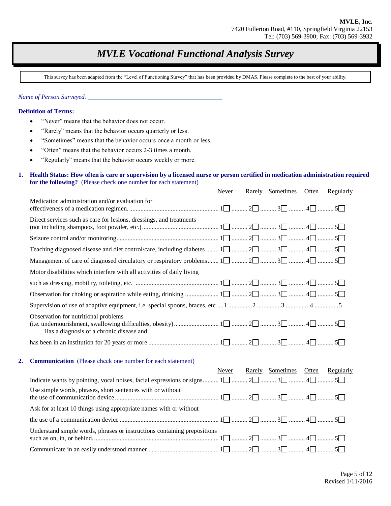# *MVLE Vocational Functional Analysis Survey*

This survey has been adapted from the "Level of Functioning Survey" that has been provided by DMAS. Please complete to the best of your ability.

*Name of Person Surveyed: \_\_\_\_\_\_\_\_\_\_\_\_\_\_\_\_\_\_\_\_\_\_\_\_\_\_\_\_\_\_\_\_\_\_\_\_\_\_\_\_\_\_* 

#### **Definition of Terms:**

- "Never" means that the behavior does not occur.
- "Rarely" means that the behavior occurs quarterly or less.
- "Sometimes" means that the behavior occurs once a month or less.
- "Often" means that the behavior occurs 2-3 times a month.
- "Regularly" means that the behavior occurs weekly or more.

#### **1. Health Status: How often is care or supervision by a licensed nurse or person certified in medication administration required for the following?** (Please check one number for each statement)

|    |                                                                                                       | Never | Rarely Sometimes Often           | Regularly |
|----|-------------------------------------------------------------------------------------------------------|-------|----------------------------------|-----------|
|    | Medication administration and/or evaluation for                                                       |       |                                  |           |
|    | Direct services such as care for lesions, dressings, and treatments                                   |       |                                  |           |
|    |                                                                                                       |       |                                  |           |
|    |                                                                                                       |       |                                  |           |
|    |                                                                                                       |       |                                  |           |
|    | Motor disabilities which interfere with all activities of daily living                                |       |                                  |           |
|    |                                                                                                       |       |                                  |           |
|    |                                                                                                       |       |                                  |           |
|    |                                                                                                       |       |                                  |           |
|    | Observation for nutritional problems<br>Has a diagnosis of a chronic disease and                      |       |                                  |           |
|    |                                                                                                       |       |                                  |           |
| 2. | <b>Communication</b> (Please check one number for each statement)                                     |       |                                  |           |
|    |                                                                                                       | Never | Rarely Sometimes Often Regularly |           |
|    | Indicate wants by pointing, vocal noises, facial expressions or signs $1\Box$ $2\Box$ $4\Box$ $5\Box$ |       |                                  |           |
|    | Use simple words, phrases, short sentences with or without                                            |       |                                  |           |
|    | Ask for at least 10 things using appropriate names with or without                                    |       |                                  |           |
|    |                                                                                                       |       |                                  |           |
|    | Understand simple words, phrases or instructions containing prepositions                              |       |                                  |           |

Communicate in an easily understood manner ............................................ 1 .......... 2 .......... 3 .......... 4 .......... 5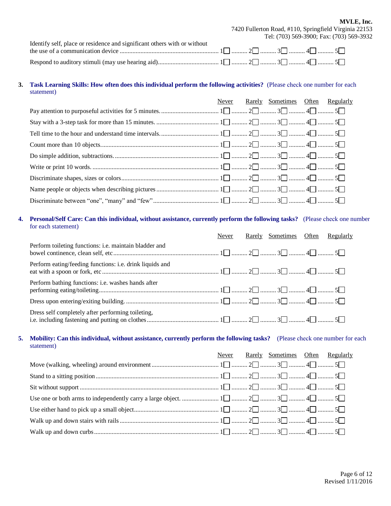**MVLE, Inc.** 7420 Fullerton Road, #110, Springfield Virginia 22153 Tel: (703) 569-3900; Fax: (703) 569-3932

| Identify self, place or residence and significant others with or without |  |  |  |
|--------------------------------------------------------------------------|--|--|--|
|                                                                          |  |  |  |
|                                                                          |  |  |  |

#### **3. Task Learning Skills: How often does this individual perform the following activities?** (Please check one number for each statement)

| Never | Rarely Sometimes Often Regularly |  |
|-------|----------------------------------|--|
|       |                                  |  |
|       |                                  |  |
|       |                                  |  |
|       |                                  |  |
|       |                                  |  |
|       |                                  |  |
|       |                                  |  |
|       |                                  |  |
|       |                                  |  |

#### **4. Personal/Self Care: Can this individual, without assistance, currently perform the following tasks?** (Please check one number for each statement)

|                                                           | Never | Rarely Sometimes Often | Regularly |
|-----------------------------------------------------------|-------|------------------------|-----------|
| Perform toileting functions: i.e. maintain bladder and    |       |                        |           |
| Perform eating/feeding functions: i.e. drink liquids and  |       |                        |           |
| Perform bathing functions: <i>i.e.</i> washes hands after |       |                        |           |
|                                                           |       |                        |           |
| Dress self completely after performing toileting,         |       |                        |           |

#### **5. Mobility: Can this individual, without assistance, currently perform the following tasks?** (Please check one number for each statement)

|  | Never Rarely Sometimes Often Regularly |  |
|--|----------------------------------------|--|
|  |                                        |  |
|  |                                        |  |
|  |                                        |  |
|  |                                        |  |
|  |                                        |  |
|  |                                        |  |
|  |                                        |  |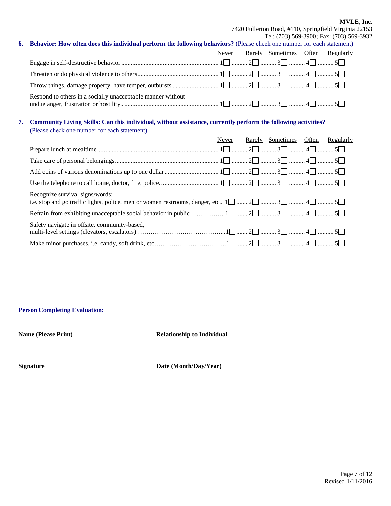#### **MVLE, Inc.**

7420 Fullerton Road, #110, Springfield Virginia 22153 Tel: (703) 569-3900; Fax: (703) 569-3932

| 6. Behavior: How often does this individual perform the following behaviors? (Please check one number for each statement) |  |                                        |  |
|---------------------------------------------------------------------------------------------------------------------------|--|----------------------------------------|--|
|                                                                                                                           |  | Never Rarely Sometimes Often Regularly |  |
|                                                                                                                           |  |                                        |  |
|                                                                                                                           |  |                                        |  |
|                                                                                                                           |  |                                        |  |

Respond to others in a socially unacceptable manner without undue anger, frustration or hostility.. ........................................................... 1 .......... 2 .......... 3 .......... 4 .......... 5

#### **7. Community Living Skills: Can this individual, without assistance, currently perform the following activities?** (Please check one number for each statement)

|                                                                                                                                                                 | Never | Rarely Sometimes Often Regularly |  |
|-----------------------------------------------------------------------------------------------------------------------------------------------------------------|-------|----------------------------------|--|
|                                                                                                                                                                 |       |                                  |  |
|                                                                                                                                                                 |       |                                  |  |
|                                                                                                                                                                 |       |                                  |  |
|                                                                                                                                                                 |       |                                  |  |
| Recognize survival signs/words:<br>i.e. stop and go traffic lights, police, men or women restrooms, danger, etc $1 \square$ $2 \square$ $4 \square$ $5 \square$ |       |                                  |  |
|                                                                                                                                                                 |       |                                  |  |
| Safety navigate in offsite, community-based,                                                                                                                    |       |                                  |  |
|                                                                                                                                                                 |       |                                  |  |

#### **Person Completing Evaluation:**

**Name (Please Print) Relationship to Individual** 

**\_\_\_\_\_\_\_\_\_\_\_\_\_\_\_\_\_\_\_\_\_\_\_\_\_\_\_\_\_\_\_\_ \_\_\_\_\_\_\_\_\_\_\_\_\_\_\_\_\_\_\_\_\_\_\_\_\_\_\_\_\_\_\_\_**

**\_\_\_\_\_\_\_\_\_\_\_\_\_\_\_\_\_\_\_\_\_\_\_\_\_\_\_\_\_\_\_\_ \_\_\_\_\_\_\_\_\_\_\_\_\_\_\_\_\_\_\_\_\_\_\_\_\_\_\_\_\_\_\_\_**

**Signature Date (Month/Day/Year)**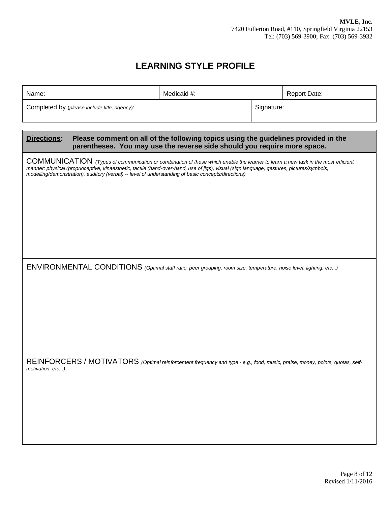## **LEARNING STYLE PROFILE**

| Name:            |                                              | Medicaid #:                                                                                                                                                                                                                                                                                                                                                                          |            | <b>Report Date:</b> |
|------------------|----------------------------------------------|--------------------------------------------------------------------------------------------------------------------------------------------------------------------------------------------------------------------------------------------------------------------------------------------------------------------------------------------------------------------------------------|------------|---------------------|
|                  | Completed by (please include title, agency): |                                                                                                                                                                                                                                                                                                                                                                                      | Signature: |                     |
| Directions:      |                                              | Please comment on all of the following topics using the guidelines provided in the<br>parentheses. You may use the reverse side should you require more space.                                                                                                                                                                                                                       |            |                     |
|                  |                                              | COMMUNICATION (Types of communication or combination of these which enable the learner to learn a new task in the most efficient<br>manner: physical (proprioceptive, kinaesthetic, tactile (hand-over-hand, use of jigs), visual (sign language, gestures, pictures/symbols,<br>modelling/demonstration), auditory (verbal) -- level of understanding of basic concepts/directions) |            |                     |
|                  |                                              | ENVIRONMENTAL CONDITIONS (Optimal staff ratio, peer grouping, room size, temperature, noise level, lighting, etc)                                                                                                                                                                                                                                                                    |            |                     |
| motivation, etc) |                                              | REINFORCERS / MOTIVATORS (Optimal reinforcement frequency and type - e.g., food, music, praise, money, points, quotas, self-                                                                                                                                                                                                                                                         |            |                     |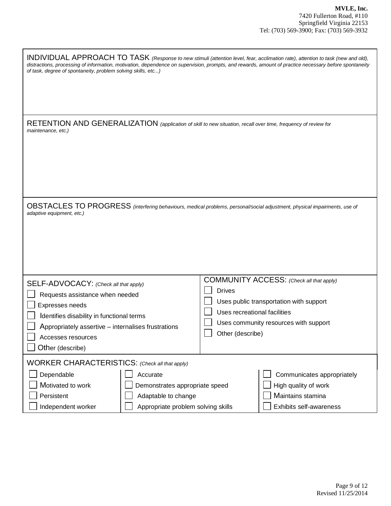| INDIVIDUAL APPROACH TO TASK (Response to new stimuli (attention level, fear, acclimation rate), attention to task (new and old),<br>distractions, processing of information, motivation, dependence on supervision, prompts, and rewards, amount of practice necessary before spontaneity<br>of task, degree of spontaneity, problem solving skills, etc) |                                                                   |                                                                                                                              |
|-----------------------------------------------------------------------------------------------------------------------------------------------------------------------------------------------------------------------------------------------------------------------------------------------------------------------------------------------------------|-------------------------------------------------------------------|------------------------------------------------------------------------------------------------------------------------------|
| RETENTION AND GENERALIZATION (application of skill to new situation, recall over time, frequency of review for<br>maintenance, etc.)                                                                                                                                                                                                                      |                                                                   |                                                                                                                              |
| OBSTACLES TO PROGRESS (interfering behaviours, medical problems, personal/social adjustment, physical impairments, use of<br>adaptive equipment, etc.)                                                                                                                                                                                                    |                                                                   |                                                                                                                              |
| SELF-ADVOCACY: (Check all that apply)<br>Requests assistance when needed<br>Expresses needs<br>Identifies disability in functional terms<br>Appropriately assertive – internalises frustrations<br>Accesses resources<br>Other (describe)                                                                                                                 | <b>Drives</b><br>Uses recreational facilities<br>Other (describe) | COMMUNITY ACCESS: (Check all that apply)<br>Uses public transportation with support<br>Uses community resources with support |
| WORKER CHARACTERISTICS: (Check all that apply)<br>Dependable<br>Accurate<br>Motivated to work<br>Demonstrates appropriate speed<br>Persistent<br>Adaptable to change<br>Independent worker<br>Appropriate problem solving skills                                                                                                                          |                                                                   | Communicates appropriately<br>High quality of work<br>Maintains stamina<br>Exhibits self-awareness                           |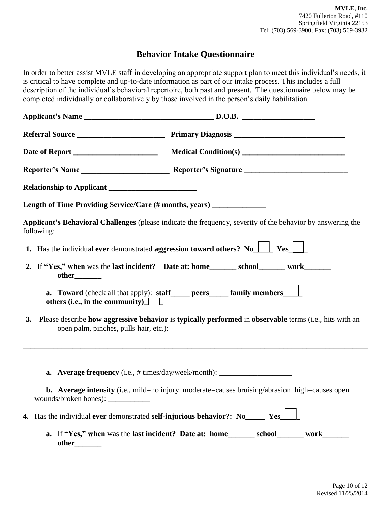## **Behavior Intake Questionnaire**

In order to better assist MVLE staff in developing an appropriate support plan to meet this individual's needs, it is critical to have complete and up-to-date information as part of our intake process. This includes a full description of the individual's behavioral repertoire, both past and present. The questionnaire below may be completed individually or collaboratively by those involved in the person's daily habilitation.

| Length of Time Providing Service/Care (# months, years) ________________               |                                                                                                                             |
|----------------------------------------------------------------------------------------|-----------------------------------------------------------------------------------------------------------------------------|
| following:                                                                             | Applicant's Behavioral Challenges (please indicate the frequency, severity of the behavior by answering the                 |
|                                                                                        | 1. Has the individual ever demonstrated aggression toward others? No $\Box$ Yes $\Box$                                      |
| other________                                                                          | 2. If "Yes," when was the last incident? Date at: home________ school_______ work_______                                    |
| others (i.e., in the community) $\Box$                                                 | <b>a.</b> Toward (check all that apply): staff peers $\Box$ family members $\Box$                                           |
| open palm, pinches, pulls hair, etc.):                                                 | 3. Please describe how aggressive behavior is typically performed in observable terms (i.e., hits with an                   |
|                                                                                        | ,我们也不能在这里的时候,我们也不能在这里的时候,我们也不能会在这里的时候,我们也不能会在这里的时候,我们也不能会在这里的时候,我们也不能会在这里的时候,我们也不                                           |
|                                                                                        | <b>a.</b> Average frequency (i.e., $\#$ times/day/week/month): $\_\_\_\_\_\_\_\_\_\_\_\_\_\_\_\_\_\_\_\_\_\_\_\_\_\_\_\_\_$ |
| wounds/broken bones): $\frac{1}{\sqrt{1-\frac{1}{2}} \cdot \frac{1}{2}}$               | <b>b.</b> Average intensity (i.e., mild=no injury moderate=causes bruising/abrasion high=causes open                        |
| 4. Has the individual ever demonstrated self-injurious behavior?: No $\Box$ Yes $\Box$ |                                                                                                                             |
| other_                                                                                 | a. If "Yes," when was the last incident? Date at: home________ school_______ work_______                                    |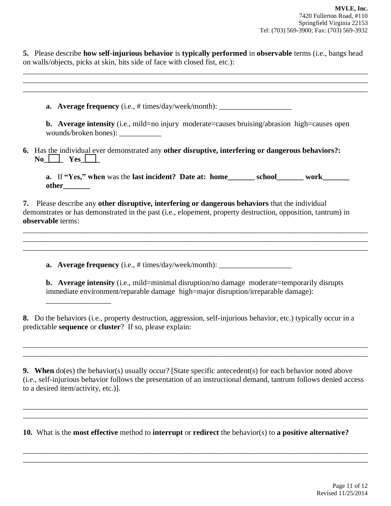**5.** Please describe **how self-injurious behavior** is **typically performed** in **observable** terms (i.e., bangs head on walls/objects, picks at skin, hits side of face with closed fist, etc.):

\_\_\_\_\_\_\_\_\_\_\_\_\_\_\_\_\_\_\_\_\_\_\_\_\_\_\_\_\_\_\_\_\_\_\_\_\_\_\_\_\_\_\_\_\_\_\_\_\_\_\_\_\_\_\_\_\_\_\_\_\_\_\_\_\_\_\_\_\_\_\_\_\_\_\_\_\_\_\_\_\_\_\_\_\_\_\_\_\_\_

| <b>a.</b> Average frequency (i.e., # times/day/week/month): __________________________                                                                                                                                               |
|--------------------------------------------------------------------------------------------------------------------------------------------------------------------------------------------------------------------------------------|
| <b>b.</b> Average intensity (i.e., mild=no injury moderate=causes bruising/abrasion high=causes open                                                                                                                                 |
| 6. Has the individual ever demonstrated any other disruptive, interfering or dangerous behaviors?:<br>$\bf{No}$ $\Box$ Yes $\Box$                                                                                                    |
| a. If "Yes," when was the last incident? Date at: home_______ school_______ work_______                                                                                                                                              |
| other________                                                                                                                                                                                                                        |
| 7. Please describe any other disruptive, interfering or dangerous behaviors that the individual<br>demonstrates or has demonstrated in the past (i.e., elopement, property destruction, opposition, tantrum) in<br>observable terms: |
| <b>a.</b> Average frequency (i.e., # times/day/week/month): __________________________                                                                                                                                               |

**9. When** do(es) the behavior(s) usually occur? [State specific antecedent(s) for each behavior noted above (i.e., self-injurious behavior follows the presentation of an instructional demand, tantrum follows denied access to a desired item/activity, etc.)].

\_\_\_\_\_\_\_\_\_\_\_\_\_\_\_\_\_\_\_\_\_\_\_\_\_\_\_\_\_\_\_\_\_\_\_\_\_\_\_\_\_\_\_\_\_\_\_\_\_\_\_\_\_\_\_\_\_\_\_\_\_\_\_\_\_\_\_\_\_\_\_\_\_\_\_\_\_\_\_\_\_\_\_\_\_\_\_\_\_\_ \_\_\_\_\_\_\_\_\_\_\_\_\_\_\_\_\_\_\_\_\_\_\_\_\_\_\_\_\_\_\_\_\_\_\_\_\_\_\_\_\_\_\_\_\_\_\_\_\_\_\_\_\_\_\_\_\_\_\_\_\_\_\_\_\_\_\_\_\_\_\_\_\_\_\_\_\_\_\_\_\_\_\_\_\_\_\_\_\_\_

\_\_\_\_\_\_\_\_\_\_\_\_\_\_\_\_\_\_\_\_\_\_\_\_\_\_\_\_\_\_\_\_\_\_\_\_\_\_\_\_\_\_\_\_\_\_\_\_\_\_\_\_\_\_\_\_\_\_\_\_\_\_\_\_\_\_\_\_\_\_\_\_\_\_\_\_\_\_\_\_\_\_\_\_\_\_\_\_\_\_ \_\_\_\_\_\_\_\_\_\_\_\_\_\_\_\_\_\_\_\_\_\_\_\_\_\_\_\_\_\_\_\_\_\_\_\_\_\_\_\_\_\_\_\_\_\_\_\_\_\_\_\_\_\_\_\_\_\_\_\_\_\_\_\_\_\_\_\_\_\_\_\_\_\_\_\_\_\_\_\_\_\_\_\_\_\_\_\_\_\_

\_\_\_\_\_\_\_\_\_\_\_\_\_\_\_\_\_\_\_\_\_\_\_\_\_\_\_\_\_\_\_\_\_\_\_\_\_\_\_\_\_\_\_\_\_\_\_\_\_\_\_\_\_\_\_\_\_\_\_\_\_\_\_\_\_\_\_\_\_\_\_\_\_\_\_\_\_\_\_\_\_\_\_\_\_\_\_\_\_\_ \_\_\_\_\_\_\_\_\_\_\_\_\_\_\_\_\_\_\_\_\_\_\_\_\_\_\_\_\_\_\_\_\_\_\_\_\_\_\_\_\_\_\_\_\_\_\_\_\_\_\_\_\_\_\_\_\_\_\_\_\_\_\_\_\_\_\_\_\_\_\_\_\_\_\_\_\_\_\_\_\_\_\_\_\_\_\_\_\_\_

**10.** What is the **most effective** method to **interrupt** or **redirect** the behavior(s) to **a positive alternative?**